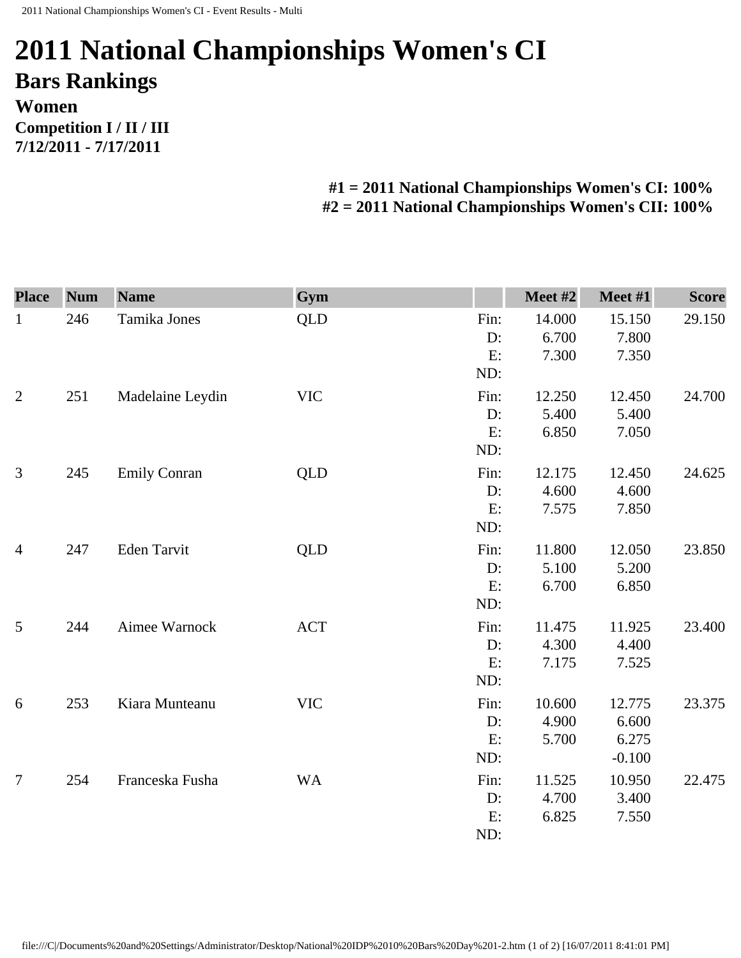## **2011 National Championships Women's CI Bars Rankings Women Competition I / II / III 7/12/2011 - 7/17/2011**

**#1 = 2011 National Championships Women's CI: 100% #2 = 2011 National Championships Women's CII: 100%** 

| <b>Place</b>   | <b>Num</b> | <b>Name</b>         | Gym        |                  | Meet #2                  | Meet #1                  | <b>Score</b> |
|----------------|------------|---------------------|------------|------------------|--------------------------|--------------------------|--------------|
| $\mathbf{1}$   | 246        | Tamika Jones        | <b>QLD</b> | Fin:<br>D:<br>E: | 14.000<br>6.700<br>7.300 | 15.150<br>7.800<br>7.350 | 29.150       |
|                |            |                     |            | ND:              |                          |                          |              |
| $\overline{2}$ | 251        | Madelaine Leydin    | <b>VIC</b> | Fin:             | 12.250                   | 12.450                   | 24.700       |
|                |            |                     |            | D:               | 5.400                    | 5.400                    |              |
|                |            |                     |            | E:<br>ND:        | 6.850                    | 7.050                    |              |
| $\mathfrak{Z}$ | 245        | <b>Emily Conran</b> | QLD        | Fin:             | 12.175                   | 12.450                   | 24.625       |
|                |            |                     |            | D:               | 4.600                    | 4.600                    |              |
|                |            |                     |            | E:               | 7.575                    | 7.850                    |              |
|                |            |                     |            | ND:              |                          |                          |              |
| $\overline{4}$ | 247        | Eden Tarvit         | QLD        | Fin:             | 11.800                   | 12.050                   | 23.850       |
|                |            |                     |            | D:               | 5.100                    | 5.200                    |              |
|                |            |                     |            | E:               | 6.700                    | 6.850                    |              |
|                |            |                     |            | ND:              |                          |                          |              |
| 5              | 244        | Aimee Warnock       | <b>ACT</b> | Fin:             | 11.475                   | 11.925                   | 23.400       |
|                |            |                     |            | D:               | 4.300                    | 4.400                    |              |
|                |            |                     |            | E:               | 7.175                    | 7.525                    |              |
|                |            |                     |            | ND:              |                          |                          |              |
| $6\,$          | 253        | Kiara Munteanu      | <b>VIC</b> | Fin:             | 10.600                   | 12.775                   | 23.375       |
|                |            |                     |            | D:               | 4.900                    | 6.600                    |              |
|                |            |                     |            | E:               | 5.700                    | 6.275                    |              |
|                |            |                     |            | ND:              |                          | $-0.100$                 |              |
| $\overline{7}$ | 254        | Franceska Fusha     | <b>WA</b>  | Fin:             | 11.525                   | 10.950                   | 22.475       |
|                |            |                     |            | D:               | 4.700                    | 3.400                    |              |
|                |            |                     |            | E:               | 6.825                    | 7.550                    |              |
|                |            |                     |            | ND:              |                          |                          |              |